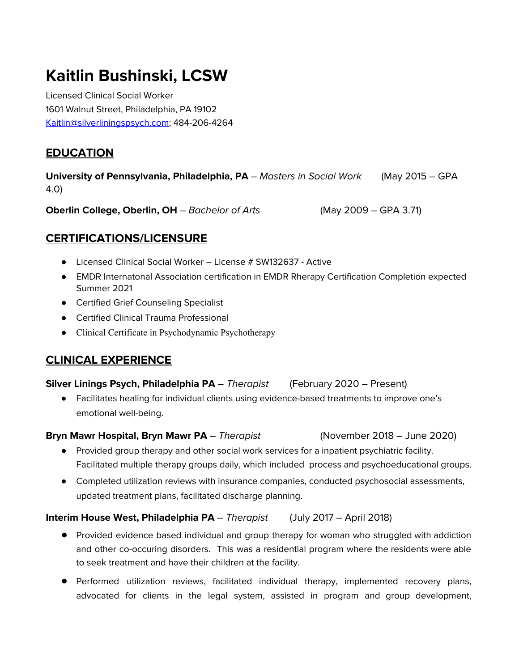# **Kaitlin Bushinski, LCSW**

Licensed Clinical Social Worker 1601 Walnut Street, Philadelphia, PA 19102 [Kaitlin@silverliningspsych.com;](mailto:Kaitlin@silverliningspsych.com) 484-206-4264

## **EDUCATION**

**University of Pennsylvania, Philadelphia, PA** – Masters in Social Work (May 2015 – GPA 4.0)

**Oberlin College, Oberlin, OH** – Bachelor of Arts (May 2009 – GPA 3.71)

## **CERTIFICATIONS/LICENSURE**

- Licensed Clinical Social Worker License # SW132637 Active
- EMDR Internatonal Association certification in EMDR Rherapy Certification Completion expected Summer 2021
- Certified Grief Counseling Specialist
- Certified Clinical Trauma Professional
- Clinical Certificate in Psychodynamic Psychotherapy

## **CLINICAL EXPERIENCE**

#### **Silver Linings Psych, Philadelphia PA** – Therapist (February 2020 – Present)

● Facilitates healing for individual clients using evidence-based treatments to improve one's emotional well-being.

#### **Bryn Mawr Hospital, Bryn Mawr PA** – Therapist (November 2018 – June 2020)

- Provided group therapy and other social work services for a inpatient psychiatric facility. Facilitated multiple therapy groups daily, which included process and psychoeducational groups.
- Completed utilization reviews with insurance companies, conducted psychosocial assessments, updated treatment plans, facilitated discharge planning.

#### **Interim House West, Philadelphia PA** – Therapist (July 2017 – April 2018)

- Provided evidence based individual and group therapy for woman who struggled with addiction and other co-occuring disorders. This was a residential program where the residents were able to seek treatment and have their children at the facility.
- Performed utilization reviews, facilitated individual therapy, implemented recovery plans, advocated for clients in the legal system, assisted in program and group development,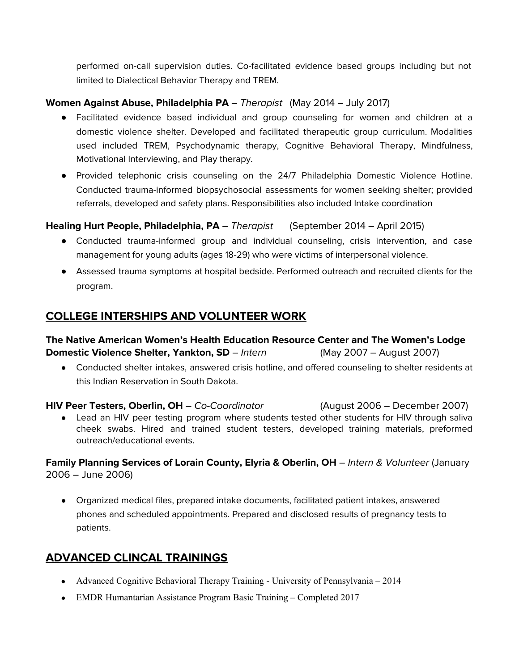performed on-call supervision duties. Co-facilitated evidence based groups including but not limited to Dialectical Behavior Therapy and TREM.

#### **Women Against Abuse, Philadelphia PA** – Therapist (May 2014 – July 2017)

- Facilitated evidence based individual and group counseling for women and children at a domestic violence shelter. Developed and facilitated therapeutic group curriculum. Modalities used included TREM, Psychodynamic therapy, Cognitive Behavioral Therapy, Mindfulness, Motivational Interviewing, and Play therapy.
- Provided telephonic crisis counseling on the 24/7 Philadelphia Domestic Violence Hotline. Conducted trauma-informed biopsychosocial assessments for women seeking shelter; provided referrals, developed and safety plans. Responsibilities also included Intake coordination

### **Healing Hurt People, Philadelphia, PA** – Therapist (September 2014 – April 2015)

- Conducted trauma-informed group and individual counseling, crisis intervention, and case management for young adults (ages 18-29) who were victims of interpersonal violence.
- Assessed trauma symptoms at hospital bedside. Performed outreach and recruited clients for the program.

## **COLLEGE INTERSHIPS AND VOLUNTEER WORK**

**The Native American Women's Health Education Resource Center and The Women's Lodge Domestic Violence Shelter, Yankton, SD** – Intern (May 2007 – August 2007)

● Conducted shelter intakes, answered crisis hotline, and offered counseling to shelter residents at this Indian Reservation in South Dakota.

**HIV Peer Testers, Oberlin, OH** – Co-Coordinator (August 2006 – December 2007) • Lead an HIV peer testing program where students tested other students for HIV through saliva cheek swabs. Hired and trained student testers, developed training materials, preformed outreach/educational events.

**Family Planning Services of Lorain County, Elyria & Oberlin, OH** – Intern & Volunteer (January 2006 – June 2006)

● Organized medical files, prepared intake documents, facilitated patient intakes, answered phones and scheduled appointments. Prepared and disclosed results of pregnancy tests to patients.

## **ADVANCED CLINCAL TRAININGS**

- **●** Advanced Cognitive Behavioral Therapy Training University of Pennsylvania 2014
- **●** EMDR Humantarian Assistance Program Basic Training Completed 2017